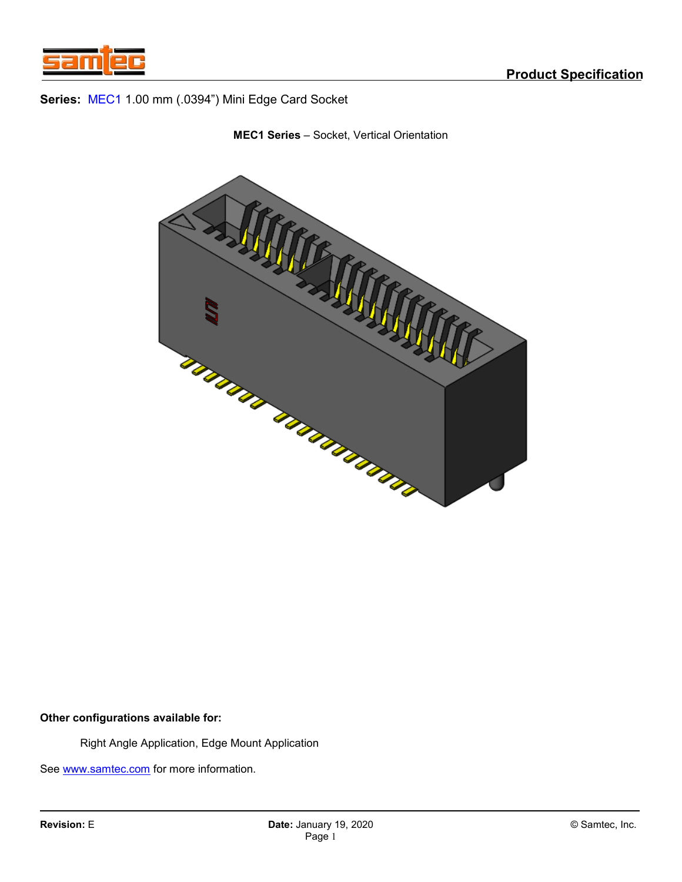





### **Other configurations available for:**

Right Angle Application, Edge Mount Application

See [www.samtec.com](http://www.samtec.com/) for more information.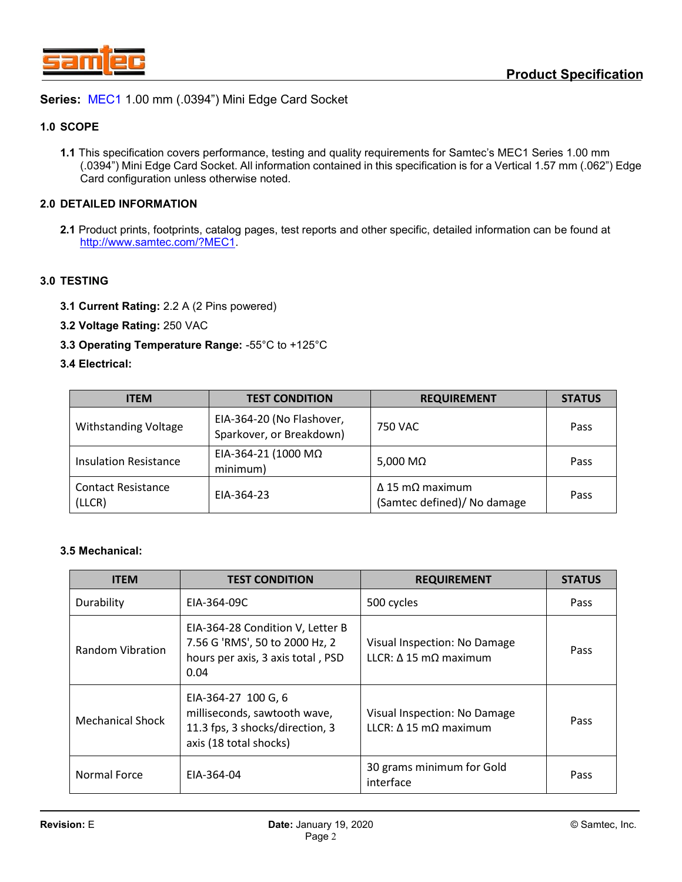

### **1.0 SCOPE**

**1.1** This specification covers performance, testing and quality requirements for Samtec's MEC1 Series 1.00 mm (.0394") Mini Edge Card Socket. All information contained in this specification is for a Vertical 1.57 mm (.062") Edge Card configuration unless otherwise noted.

## **2.0 DETAILED INFORMATION**

**2.1** Product prints, footprints, catalog pages, test reports and other specific, detailed information can be found at [http://www.samtec.com/?MEC1.](http://www.samtec.com/?MEC1)

### **3.0 TESTING**

- **3.1 Current Rating:** 2.2 A (2 Pins powered)
- **3.2 Voltage Rating:** 250 VAC
- **3.3 Operating Temperature Range:** -55°C to +125°C

### **3.4 Electrical:**

| <b>ITEM</b>                         | <b>TEST CONDITION</b><br><b>REQUIREMENT</b>           |                                                               | <b>STATUS</b> |
|-------------------------------------|-------------------------------------------------------|---------------------------------------------------------------|---------------|
| <b>Withstanding Voltage</b>         | EIA-364-20 (No Flashover,<br>Sparkover, or Breakdown) | 750 VAC                                                       | Pass          |
| <b>Insulation Resistance</b>        | EIA-364-21 (1000 ΜΩ<br>minimum)                       | 5,000 M $\Omega$                                              | Pass          |
| <b>Contact Resistance</b><br>(LLCR) | EIA-364-23                                            | $\Delta$ 15 m $\Omega$ maximum<br>(Samtec defined)/ No damage | Pass          |

#### **3.5 Mechanical:**

| <b>ITEM</b>             | <b>TEST CONDITION</b>                                                                                            | <b>REQUIREMENT</b>                                                   |      |
|-------------------------|------------------------------------------------------------------------------------------------------------------|----------------------------------------------------------------------|------|
| Durability              | EIA-364-09C                                                                                                      | 500 cycles                                                           | Pass |
| <b>Random Vibration</b> | EIA-364-28 Condition V, Letter B<br>7.56 G 'RMS', 50 to 2000 Hz, 2<br>hours per axis, 3 axis total, PSD<br>0.04  | Visual Inspection: No Damage<br>LLCR: A 15 mQ maximum                | Pass |
| <b>Mechanical Shock</b> | EIA-364-27 100 G, 6<br>milliseconds, sawtooth wave,<br>11.3 fps, 3 shocks/direction, 3<br>axis (18 total shocks) | Visual Inspection: No Damage<br>LLCR: $\Delta$ 15 m $\Omega$ maximum | Pass |
| <b>Normal Force</b>     | EIA-364-04                                                                                                       | 30 grams minimum for Gold<br>interface                               | Pass |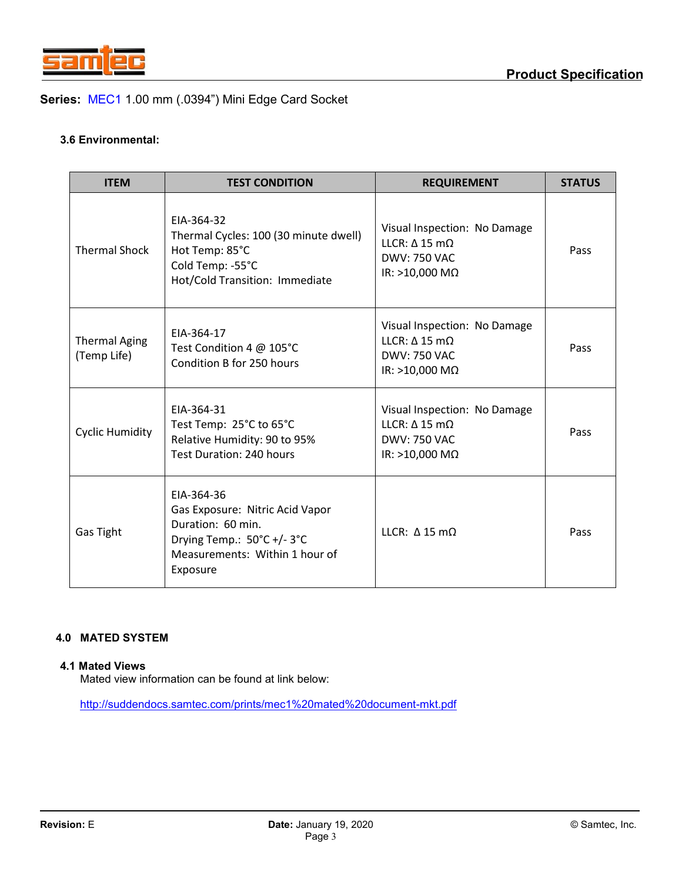

## **3.6 Environmental:**

| <b>ITEM</b>                         | <b>TEST CONDITION</b>                                                                                                                         | <b>REQUIREMENT</b>                                                                                           | <b>STATUS</b> |
|-------------------------------------|-----------------------------------------------------------------------------------------------------------------------------------------------|--------------------------------------------------------------------------------------------------------------|---------------|
| <b>Thermal Shock</b>                | EIA-364-32<br>Thermal Cycles: 100 (30 minute dwell)<br>Hot Temp: 85°C<br>Cold Temp: -55°C<br>Hot/Cold Transition: Immediate                   | Visual Inspection: No Damage<br>LLCR: $\Delta$ 15 m $\Omega$<br><b>DWV: 750 VAC</b><br>IR: >10,000 $M\Omega$ | Pass          |
| <b>Thermal Aging</b><br>(Temp Life) | EIA-364-17<br>Test Condition 4 @ 105°C<br>Condition B for 250 hours                                                                           | Visual Inspection: No Damage<br>LLCR: $\Delta$ 15 m $\Omega$<br>DWV: 750 VAC<br>IR: >10,000 $M\Omega$        | Pass          |
| <b>Cyclic Humidity</b>              | EIA-364-31<br>Test Temp: 25°C to 65°C<br>Relative Humidity: 90 to 95%<br><b>Test Duration: 240 hours</b>                                      | Visual Inspection: No Damage<br>LLCR: $\Delta$ 15 m $\Omega$<br><b>DWV: 750 VAC</b><br>IR: >10,000 $M\Omega$ |               |
| Gas Tight                           | EIA-364-36<br>Gas Exposure: Nitric Acid Vapor<br>Duration: 60 min.<br>Drying Temp.: 50°C +/-3°C<br>Measurements: Within 1 hour of<br>Exposure | LLCR: $\Delta$ 15 m $\Omega$                                                                                 | Pass          |

## **4.0 MATED SYSTEM**

#### **4.1 Mated Views**

Mated view information can be found at link below:

<http://suddendocs.samtec.com/prints/mec1%20mated%20document-mkt.pdf>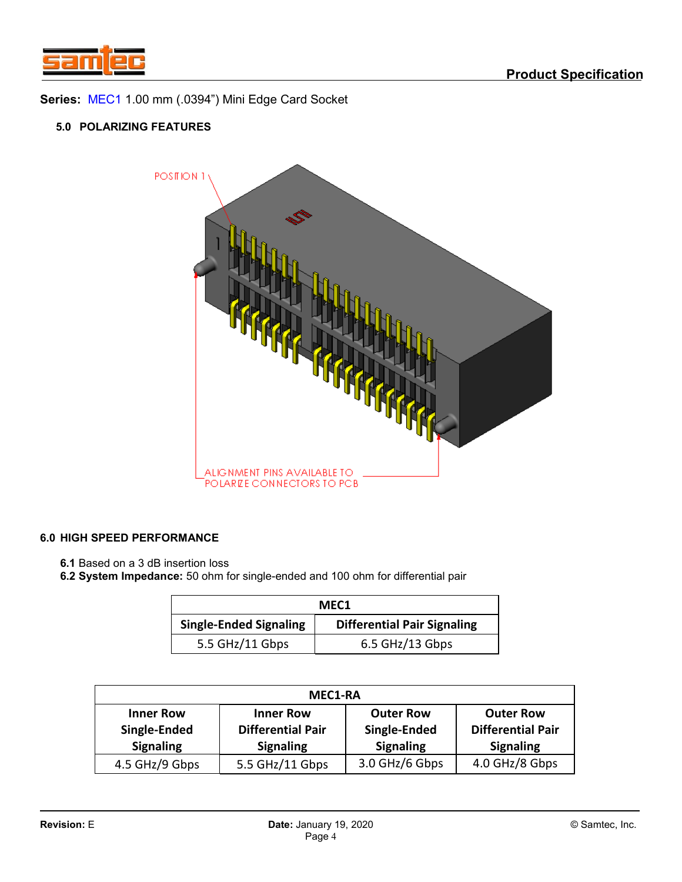

## **5.0 POLARIZING FEATURES**



## **6.0 HIGH SPEED PERFORMANCE**

**6.1** Based on a 3 dB insertion loss

**6.2 System Impedance:** 50 ohm for single-ended and 100 ohm for differential pair

| MEC <sub>1</sub>                                                    |                 |  |  |  |
|---------------------------------------------------------------------|-----------------|--|--|--|
| <b>Single-Ended Signaling</b><br><b>Differential Pair Signaling</b> |                 |  |  |  |
| 5.5 GHz/11 Gbps                                                     | 6.5 GHz/13 Gbps |  |  |  |

| <b>MEC1-RA</b>                                       |                                                                  |                                                      |                                                                  |  |  |
|------------------------------------------------------|------------------------------------------------------------------|------------------------------------------------------|------------------------------------------------------------------|--|--|
| <b>Inner Row</b><br>Single-Ended<br><b>Signaling</b> | <b>Inner Row</b><br><b>Differential Pair</b><br><b>Signaling</b> | <b>Outer Row</b><br>Single-Ended<br><b>Signaling</b> | <b>Outer Row</b><br><b>Differential Pair</b><br><b>Signaling</b> |  |  |
| 4.5 GHz/9 Gbps                                       | 5.5 GHz/11 Gbps                                                  | 3.0 GHz/6 Gbps                                       | 4.0 GHz/8 Gbps                                                   |  |  |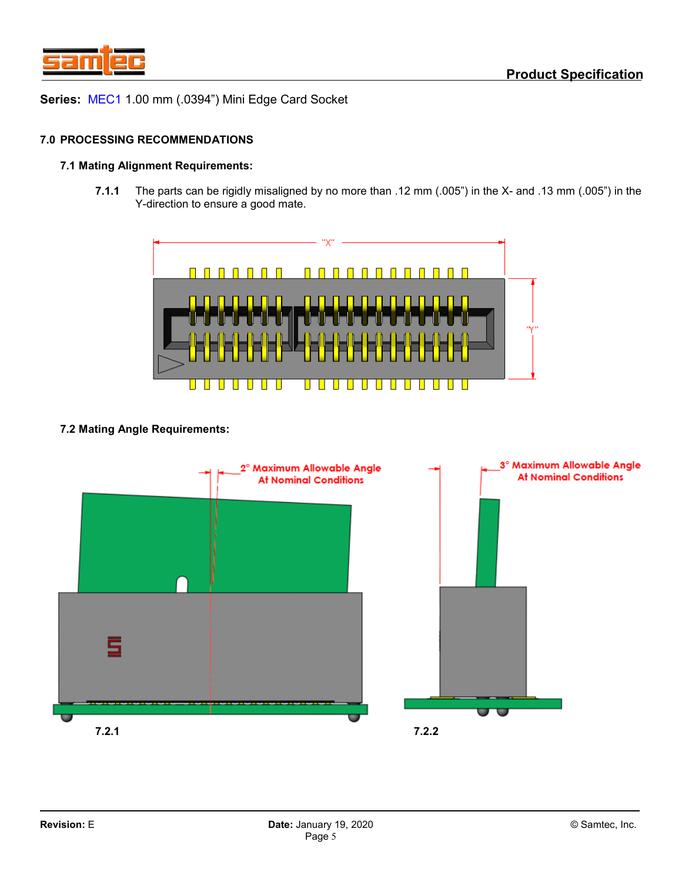

#### **7.0 PROCESSING RECOMMENDATIONS**

### **7.1 Mating Alignment Requirements:**

**7.1.1** The parts can be rigidly misaligned by no more than .12 mm (.005") in the X- and .13 mm (.005") in the Y-direction to ensure a good mate.



## **7.2 Mating Angle Requirements:**

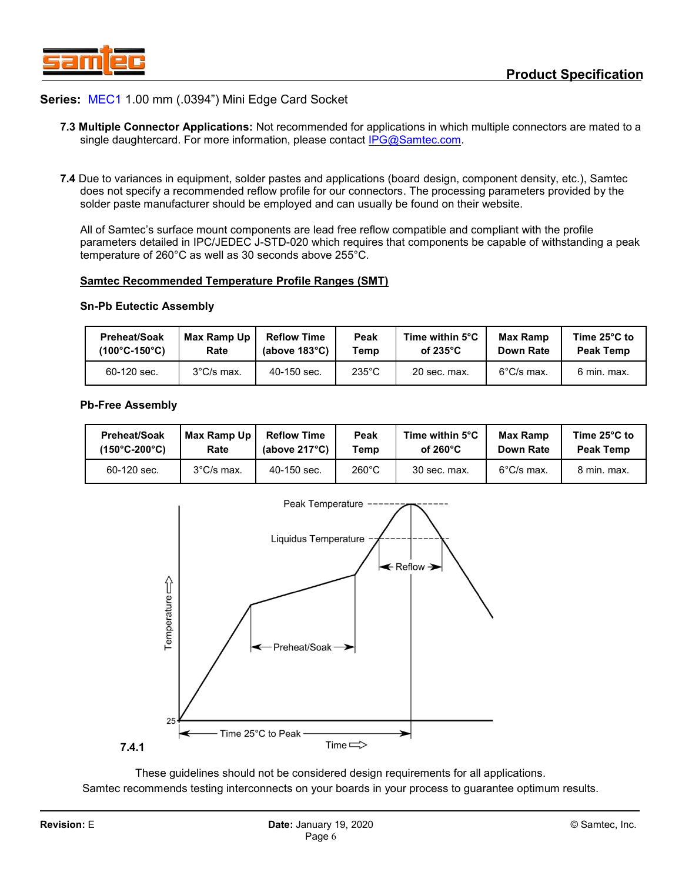

- **7.3 Multiple Connector Applications:** Not recommended for applications in which multiple connectors are mated to a single daughtercard. For more information, please contact [IPG@Samtec.com.](mailto:IPG@Samtec.com)
- **7.4** Due to variances in equipment, solder pastes and applications (board design, component density, etc.), Samtec does not specify a recommended reflow profile for our connectors. The processing parameters provided by the solder paste manufacturer should be employed and can usually be found on their website.

All of Samtec's surface mount components are lead free reflow compatible and compliant with the profile parameters detailed in IPC/JEDEC J-STD-020 which requires that components be capable of withstanding a peak temperature of 260°C as well as 30 seconds above 255°C.

#### **Samtec Recommended Temperature Profile Ranges (SMT)**

#### **Sn-Pb Eutectic Assembly**

| Preheat/Soak                       | Max Ramp Up          | <b>Reflow Time</b>      | Peak            | Time within 5°C     | Max Ramp   | Time $25^{\circ}$ C to |
|------------------------------------|----------------------|-------------------------|-----------------|---------------------|------------|------------------------|
| $(100^{\circ}$ C-150 $^{\circ}$ C) | Rate                 | (above $183^{\circ}$ C) | Temp            | of 235 $^{\circ}$ C | Down Rate  | Peak Temp              |
| 60-120 sec.                        | $3^{\circ}$ C/s max. | $40-150$ sec.           | $235^{\circ}$ C | 20 sec. max.        | 6°C/s max. | 6 min. max.            |

#### **Pb-Free Assembly**

| <b>Preheat/Soak</b>                | Max Ramp Up          | <b>Reflow Time</b>      | Peak            | Time within 5°C    | Max Ramp             | Time $25^{\circ}$ C to |
|------------------------------------|----------------------|-------------------------|-----------------|--------------------|----------------------|------------------------|
| $(150^{\circ}$ C-200 $^{\circ}$ C) | Rate                 | (above $217^{\circ}$ C) | Temp            | of $260^{\circ}$ C | Down Rate            | <b>Peak Temp</b>       |
| 60-120 sec.                        | $3^{\circ}$ C/s max. | 40-150 sec.             | $260^{\circ}$ C | 30 sec. max.       | $6^{\circ}$ C/s max. | 8 min. max.            |



These guidelines should not be considered design requirements for all applications. Samtec recommends testing interconnects on your boards in your process to guarantee optimum results.